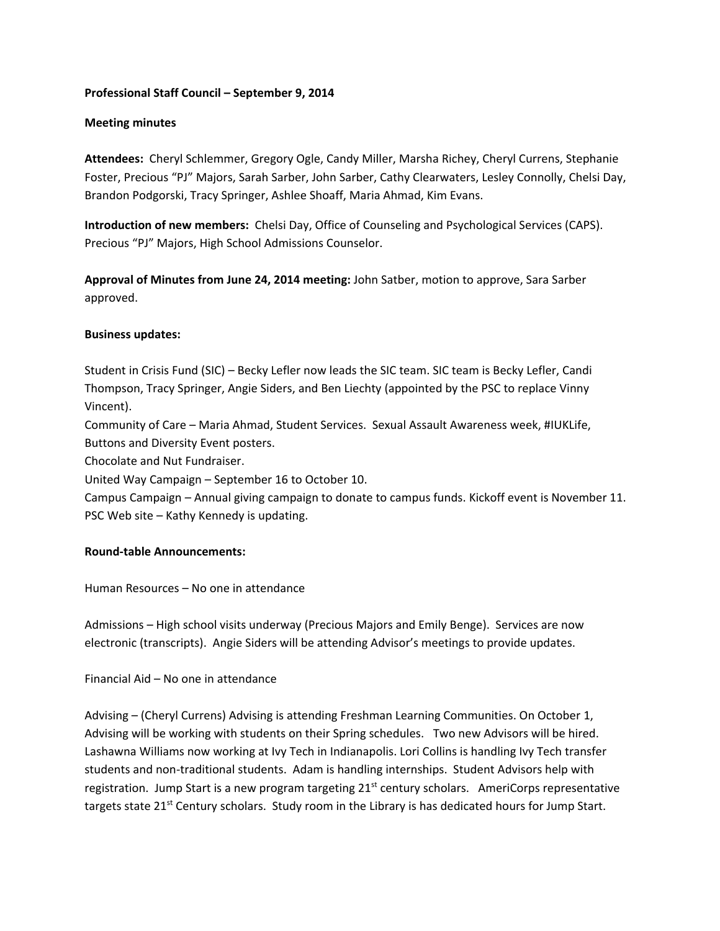# **Professional Staff Council – September 9, 2014**

### **Meeting minutes**

**Attendees:** Cheryl Schlemmer, Gregory Ogle, Candy Miller, Marsha Richey, Cheryl Currens, Stephanie Foster, Precious "PJ" Majors, Sarah Sarber, John Sarber, Cathy Clearwaters, Lesley Connolly, Chelsi Day, Brandon Podgorski, Tracy Springer, Ashlee Shoaff, Maria Ahmad, Kim Evans.

**Introduction of new members:** Chelsi Day, Office of Counseling and Psychological Services (CAPS). Precious "PJ" Majors, High School Admissions Counselor.

**Approval of Minutes from June 24, 2014 meeting:** John Satber, motion to approve, Sara Sarber approved.

### **Business updates:**

Student in Crisis Fund (SIC) – Becky Lefler now leads the SIC team. SIC team is Becky Lefler, Candi Thompson, Tracy Springer, Angie Siders, and Ben Liechty (appointed by the PSC to replace Vinny Vincent).

Community of Care – Maria Ahmad, Student Services. Sexual Assault Awareness week, #IUKLife, Buttons and Diversity Event posters.

Chocolate and Nut Fundraiser.

United Way Campaign – September 16 to October 10.

Campus Campaign – Annual giving campaign to donate to campus funds. Kickoff event is November 11. PSC Web site – Kathy Kennedy is updating.

# **Round-table Announcements:**

Human Resources – No one in attendance

Admissions – High school visits underway (Precious Majors and Emily Benge). Services are now electronic (transcripts). Angie Siders will be attending Advisor's meetings to provide updates.

Financial Aid – No one in attendance

Advising – (Cheryl Currens) Advising is attending Freshman Learning Communities. On October 1, Advising will be working with students on their Spring schedules. Two new Advisors will be hired. Lashawna Williams now working at Ivy Tech in Indianapolis. Lori Collins is handling Ivy Tech transfer students and non-traditional students. Adam is handling internships. Student Advisors help with registration. Jump Start is a new program targeting 21<sup>st</sup> century scholars. AmeriCorps representative targets state 21<sup>st</sup> Century scholars. Study room in the Library is has dedicated hours for Jump Start.